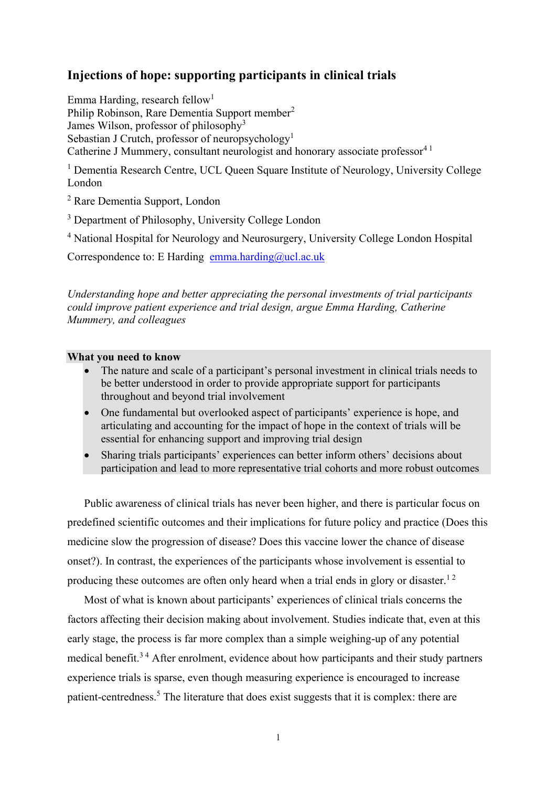# **Injections of hope: supporting participants in clinical trials**

Emma Harding, research fellow<sup>1</sup>

Philip Robinson, Rare Dementia Support member<sup>2</sup> James Wilson, professor of philosophy<sup>3</sup> Sebastian J Crutch, professor of neuropsychology<sup>1</sup> Catherine J Mummery, consultant neurologist and honorary associate professor $4<sup>1</sup>$ 

<sup>1</sup> Dementia Research Centre, UCL Queen Square Institute of Neurology, University College London

<sup>2</sup> Rare Dementia Support, London

<sup>3</sup> Department of Philosophy, University College London

<sup>4</sup> National Hospital for Neurology and Neurosurgery, University College London Hospital

Correspondence to: E Harding [emma.harding@ucl.ac.uk](mailto:emma.harding@ucl.ac.uk)

*Understanding hope and better appreciating the personal investments of trial participants could improve patient experience and trial design, argue Emma Harding, Catherine Mummery, and colleagues*

## **What you need to know**

- The nature and scale of a participant's personal investment in clinical trials needs to be better understood in order to provide appropriate support for participants throughout and beyond trial involvement
- One fundamental but overlooked aspect of participants' experience is hope, and articulating and accounting for the impact of hope in the context of trials will be essential for enhancing support and improving trial design
- Sharing trials participants' experiences can better inform others' decisions about participation and lead to more representative trial cohorts and more robust outcomes

Public awareness of clinical trials has never been higher, and there is particular focus on predefined scientific outcomes and their implications for future policy and practice (Does this medicine slow the progression of disease? Does this vaccine lower the chance of disease onset?). In contrast, the experiences of the participants whose involvement is essential to producing these outcomes are often only heard when a trial ends in glory or disaster.<sup>12</sup>

Most of what is known about participants' experiences of clinical trials concerns the factors affecting their decision making about involvement. Studies indicate that, even at this early stage, the process is far more complex than a simple weighing-up of any potential medical benefit.<sup>34</sup> After enrolment, evidence about how participants and their study partners experience trials is sparse, even though measuring experience is encouraged to increase patient-centredness.<sup>5</sup> The literature that does exist suggests that it is complex: there are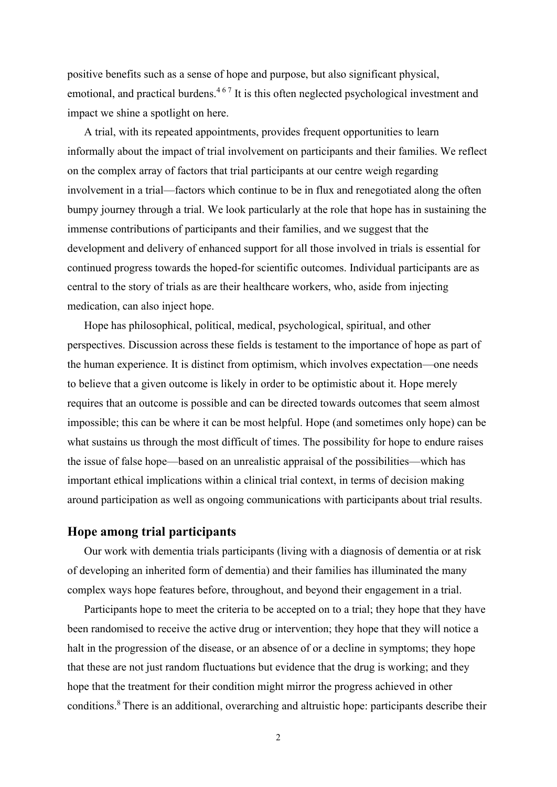positive benefits such as a sense of hope and purpose, but also significant physical, emotional, and practical burdens.<sup>467</sup> It is this often neglected psychological investment and impact we shine a spotlight on here.

A trial, with its repeated appointments, provides frequent opportunities to learn informally about the impact of trial involvement on participants and their families. We reflect on the complex array of factors that trial participants at our centre weigh regarding involvement in a trial—factors which continue to be in flux and renegotiated along the often bumpy journey through a trial. We look particularly at the role that hope has in sustaining the immense contributions of participants and their families, and we suggest that the development and delivery of enhanced support for all those involved in trials is essential for continued progress towards the hoped-for scientific outcomes. Individual participants are as central to the story of trials as are their healthcare workers, who, aside from injecting medication, can also inject hope.

Hope has philosophical, political, medical, psychological, spiritual, and other perspectives. Discussion across these fields is testament to the importance of hope as part of the human experience. It is distinct from optimism, which involves expectation—one needs to believe that a given outcome is likely in order to be optimistic about it. Hope merely requires that an outcome is possible and can be directed towards outcomes that seem almost impossible; this can be where it can be most helpful. Hope (and sometimes only hope) can be what sustains us through the most difficult of times. The possibility for hope to endure raises the issue of false hope—based on an unrealistic appraisal of the possibilities—which has important ethical implications within a clinical trial context, in terms of decision making around participation as well as ongoing communications with participants about trial results.

## **Hope among trial participants**

Our work with dementia trials participants (living with a diagnosis of dementia or at risk of developing an inherited form of dementia) and their families has illuminated the many complex ways hope features before, throughout, and beyond their engagement in a trial.

Participants hope to meet the criteria to be accepted on to a trial; they hope that they have been randomised to receive the active drug or intervention; they hope that they will notice a halt in the progression of the disease, or an absence of or a decline in symptoms; they hope that these are not just random fluctuations but evidence that the drug is working; and they hope that the treatment for their condition might mirror the progress achieved in other conditions.<sup>8</sup>There is an additional, overarching and altruistic hope: participants describe their

2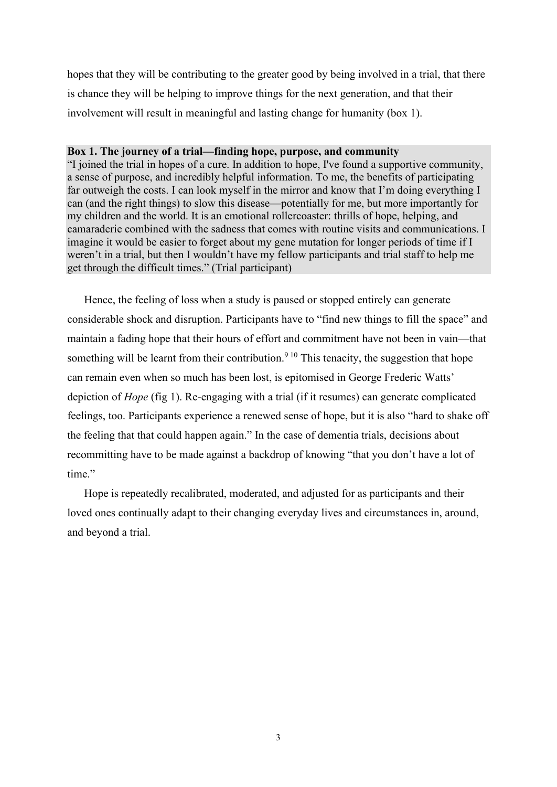hopes that they will be contributing to the greater good by being involved in a trial, that there is chance they will be helping to improve things for the next generation, and that their involvement will result in meaningful and lasting change for humanity (box 1).

### **Box 1. The journey of a trial—finding hope, purpose, and community**

"I joined the trial in hopes of a cure. In addition to hope, I've found a supportive community, a sense of purpose, and incredibly helpful information. To me, the benefits of participating far outweigh the costs. I can look myself in the mirror and know that I'm doing everything I can (and the right things) to slow this disease—potentially for me, but more importantly for my children and the world. It is an emotional rollercoaster: thrills of hope, helping, and camaraderie combined with the sadness that comes with routine visits and communications. I imagine it would be easier to forget about my gene mutation for longer periods of time if I weren't in a trial, but then I wouldn't have my fellow participants and trial staff to help me get through the difficult times." (Trial participant)

Hence, the feeling of loss when a study is paused or stopped entirely can generate considerable shock and disruption. Participants have to "find new things to fill the space" and maintain a fading hope that their hours of effort and commitment have not been in vain—that something will be learnt from their contribution.<sup>9 10</sup> This tenacity, the suggestion that hope can remain even when so much has been lost, is epitomised in George Frederic Watts' depiction of *Hope* (fig 1). Re-engaging with a trial (if it resumes) can generate complicated feelings, too. Participants experience a renewed sense of hope, but it is also "hard to shake off the feeling that that could happen again." In the case of dementia trials, decisions about recommitting have to be made against a backdrop of knowing "that you don't have a lot of time."

Hope is repeatedly recalibrated, moderated, and adjusted for as participants and their loved ones continually adapt to their changing everyday lives and circumstances in, around, and beyond a trial.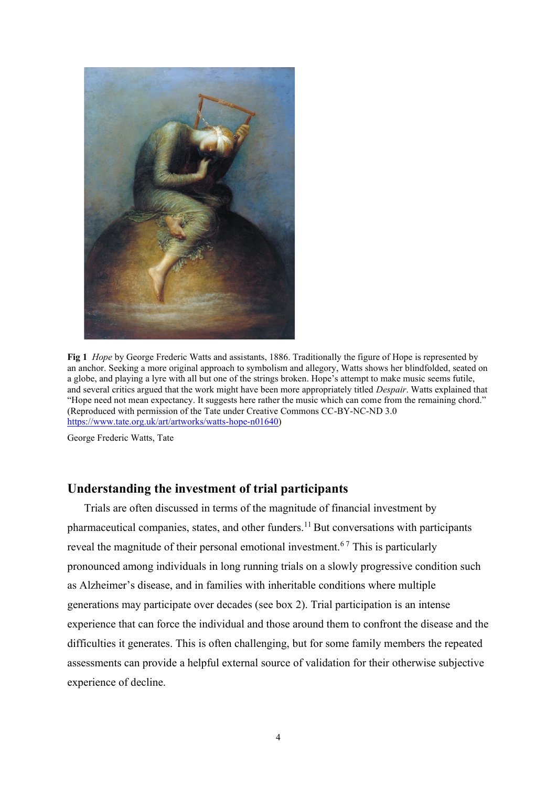

**Fig 1** *Hope* by George Frederic Watts and assistants, 1886. Traditionally the figure of Hope is represented by an anchor. Seeking a more original approach to symbolism and allegory, Watts shows her blindfolded, seated on a globe, and playing a lyre with all but one of the strings broken. Hope's attempt to make music seems futile, and several critics argued that the work might have been more appropriately titled *Despair*. Watts explained that "Hope need not mean expectancy. It suggests here rather the music which can come from the remaining chord." (Reproduced with permission of the Tate under Creative Commons CC-BY-NC-ND 3.0 [https://www.tate.org.uk/art/artworks/watts-hope-n01640\)](https://www.tate.org.uk/art/artworks/watts-hope-n01640)

George Frederic Watts, Tate

## **Understanding the investment of trial participants**

Trials are often discussed in terms of the magnitude of financial investment by pharmaceutical companies, states, and other funders.<sup>11</sup> But conversations with participants reveal the magnitude of their personal emotional investment.<sup>67</sup> This is particularly pronounced among individuals in long running trials on a slowly progressive condition such as Alzheimer's disease, and in families with inheritable conditions where multiple generations may participate over decades (see box 2). Trial participation is an intense experience that can force the individual and those around them to confront the disease and the difficulties it generates. This is often challenging, but for some family members the repeated assessments can provide a helpful external source of validation for their otherwise subjective experience of decline.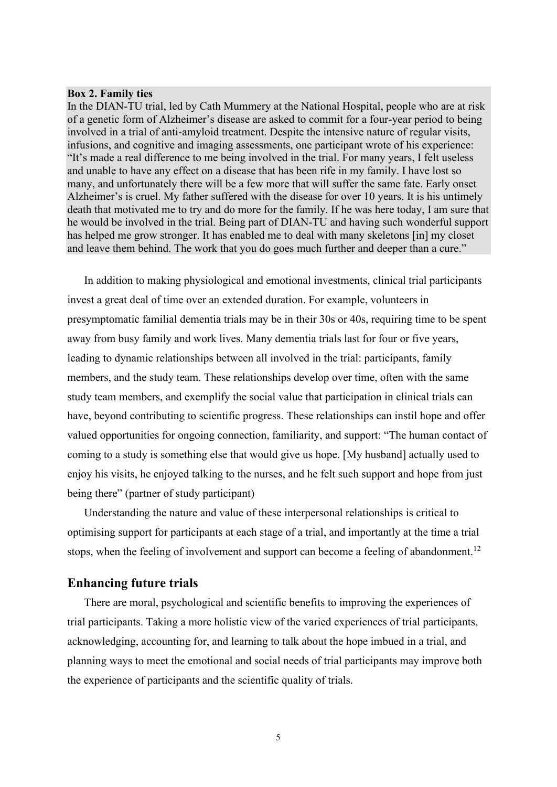#### **Box 2. Family ties**

In the DIAN-TU trial, led by Cath Mummery at the National Hospital, people who are at risk of a genetic form of Alzheimer's disease are asked to commit for a four-year period to being involved in a trial of anti-amyloid treatment. Despite the intensive nature of regular visits, infusions, and cognitive and imaging assessments, one participant wrote of his experience: "It's made a real difference to me being involved in the trial. For many years, I felt useless and unable to have any effect on a disease that has been rife in my family. I have lost so many, and unfortunately there will be a few more that will suffer the same fate. Early onset Alzheimer's is cruel. My father suffered with the disease for over 10 years. It is his untimely death that motivated me to try and do more for the family. If he was here today, I am sure that he would be involved in the trial. Being part of DIAN-TU and having such wonderful support has helped me grow stronger. It has enabled me to deal with many skeletons [in] my closet and leave them behind. The work that you do goes much further and deeper than a cure."

In addition to making physiological and emotional investments, clinical trial participants invest a great deal of time over an extended duration. For example, volunteers in presymptomatic familial dementia trials may be in their 30s or 40s, requiring time to be spent away from busy family and work lives. Many dementia trials last for four or five years, leading to dynamic relationships between all involved in the trial: participants, family members, and the study team. These relationships develop over time, often with the same study team members, and exemplify the social value that participation in clinical trials can have, beyond contributing to scientific progress. These relationships can instil hope and offer valued opportunities for ongoing connection, familiarity, and support: "The human contact of coming to a study is something else that would give us hope. [My husband] actually used to enjoy his visits, he enjoyed talking to the nurses, and he felt such support and hope from just being there" (partner of study participant)

Understanding the nature and value of these interpersonal relationships is critical to optimising support for participants at each stage of a trial, and importantly at the time a trial stops, when the feeling of involvement and support can become a feeling of abandonment.<sup>12</sup>

## **Enhancing future trials**

There are moral, psychological and scientific benefits to improving the experiences of trial participants. Taking a more holistic view of the varied experiences of trial participants, acknowledging, accounting for, and learning to talk about the hope imbued in a trial, and planning ways to meet the emotional and social needs of trial participants may improve both the experience of participants and the scientific quality of trials.

5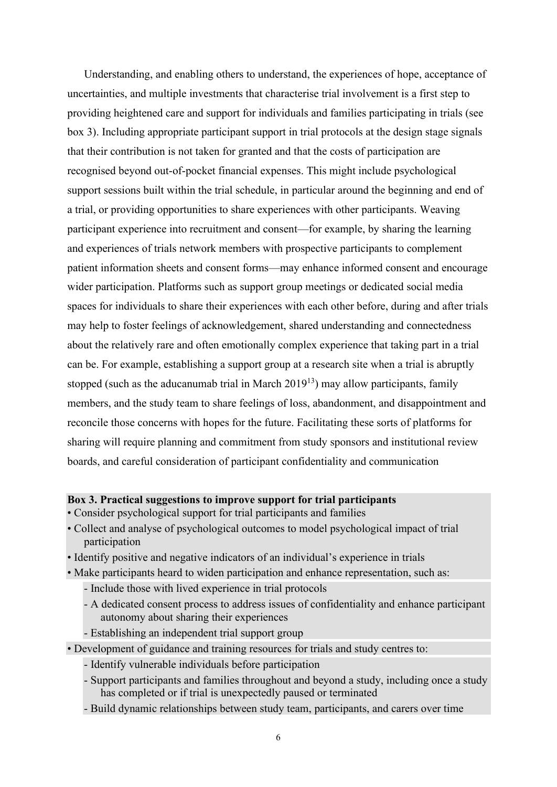Understanding, and enabling others to understand, the experiences of hope, acceptance of uncertainties, and multiple investments that characterise trial involvement is a first step to providing heightened care and support for individuals and families participating in trials (see box 3). Including appropriate participant support in trial protocols at the design stage signals that their contribution is not taken for granted and that the costs of participation are recognised beyond out-of-pocket financial expenses. This might include psychological support sessions built within the trial schedule, in particular around the beginning and end of a trial, or providing opportunities to share experiences with other participants. Weaving participant experience into recruitment and consent—for example, by sharing the learning and experiences of trials network members with prospective participants to complement patient information sheets and consent forms—may enhance informed consent and encourage wider participation. Platforms such as support group meetings or dedicated social media spaces for individuals to share their experiences with each other before, during and after trials may help to foster feelings of acknowledgement, shared understanding and connectedness about the relatively rare and often emotionally complex experience that taking part in a trial can be. For example, establishing a support group at a research site when a trial is abruptly stopped (such as the aducanumab trial in March  $2019^{13}$ ) may allow participants, family members, and the study team to share feelings of loss, abandonment, and disappointment and reconcile those concerns with hopes for the future. Facilitating these sorts of platforms for sharing will require planning and commitment from study sponsors and institutional review boards, and careful consideration of participant confidentiality and communication

### **Box 3. Practical suggestions to improve support for trial participants**

- Consider psychological support for trial participants and families
- Collect and analyse of psychological outcomes to model psychological impact of trial participation
- Identify positive and negative indicators of an individual's experience in trials
- Make participants heard to widen participation and enhance representation, such as:
	- Include those with lived experience in trial protocols
	- A dedicated consent process to address issues of confidentiality and enhance participant autonomy about sharing their experiences
	- Establishing an independent trial support group

• Development of guidance and training resources for trials and study centres to:

- Identify vulnerable individuals before participation
- Support participants and families throughout and beyond a study, including once a study has completed or if trial is unexpectedly paused or terminated
- Build dynamic relationships between study team, participants, and carers over time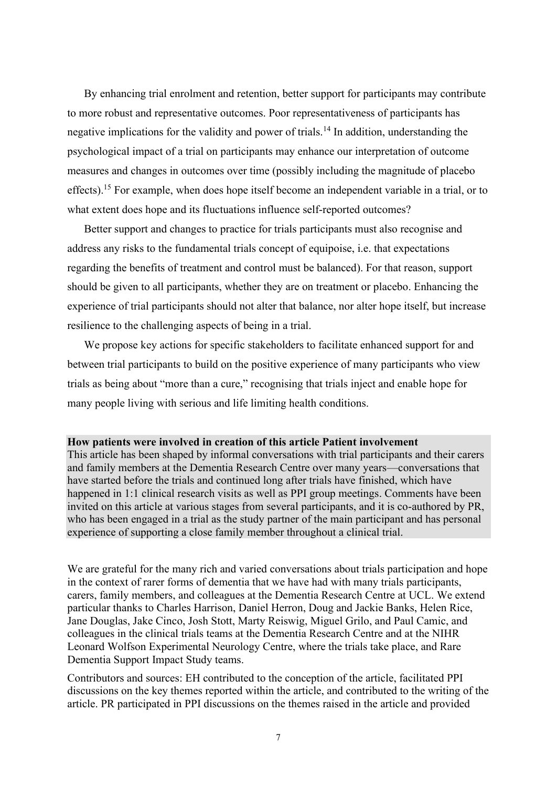By enhancing trial enrolment and retention, better support for participants may contribute to more robust and representative outcomes. Poor representativeness of participants has negative implications for the validity and power of trials.<sup>14</sup> In addition, understanding the psychological impact of a trial on participants may enhance our interpretation of outcome measures and changes in outcomes over time (possibly including the magnitude of placebo effects).<sup>15</sup> For example, when does hope itself become an independent variable in a trial, or to what extent does hope and its fluctuations influence self-reported outcomes?

Better support and changes to practice for trials participants must also recognise and address any risks to the fundamental trials concept of equipoise, i.e. that expectations regarding the benefits of treatment and control must be balanced). For that reason, support should be given to all participants, whether they are on treatment or placebo. Enhancing the experience of trial participants should not alter that balance, nor alter hope itself, but increase resilience to the challenging aspects of being in a trial.

We propose key actions for specific stakeholders to facilitate enhanced support for and between trial participants to build on the positive experience of many participants who view trials as being about "more than a cure," recognising that trials inject and enable hope for many people living with serious and life limiting health conditions.

#### **How patients were involved in creation of this article Patient involvement**

This article has been shaped by informal conversations with trial participants and their carers and family members at the Dementia Research Centre over many years—conversations that have started before the trials and continued long after trials have finished, which have happened in 1:1 clinical research visits as well as PPI group meetings. Comments have been invited on this article at various stages from several participants, and it is co-authored by PR, who has been engaged in a trial as the study partner of the main participant and has personal experience of supporting a close family member throughout a clinical trial.

We are grateful for the many rich and varied conversations about trials participation and hope in the context of rarer forms of dementia that we have had with many trials participants, carers, family members, and colleagues at the Dementia Research Centre at UCL. We extend particular thanks to Charles Harrison, Daniel Herron, Doug and Jackie Banks, Helen Rice, Jane Douglas, Jake Cinco, Josh Stott, Marty Reiswig, Miguel Grilo, and Paul Camic, and colleagues in the clinical trials teams at the Dementia Research Centre and at the NIHR Leonard Wolfson Experimental Neurology Centre, where the trials take place, and Rare Dementia Support Impact Study teams.

Contributors and sources: EH contributed to the conception of the article, facilitated PPI discussions on the key themes reported within the article, and contributed to the writing of the article. PR participated in PPI discussions on the themes raised in the article and provided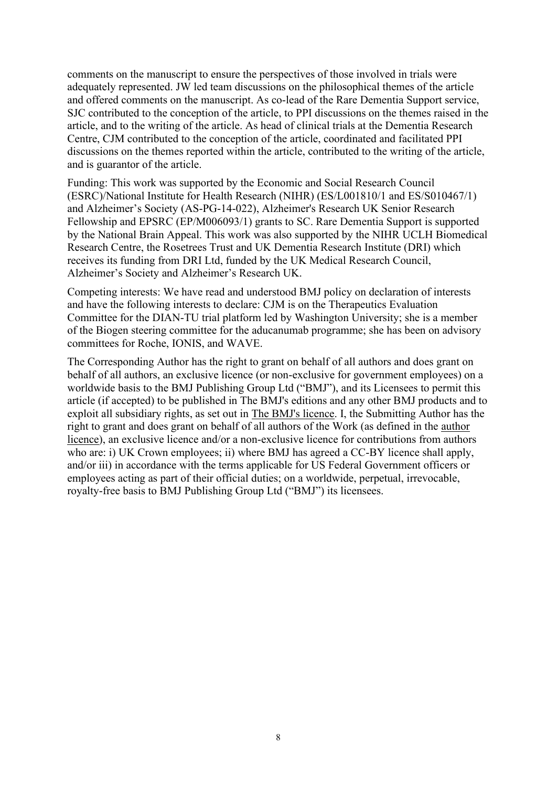comments on the manuscript to ensure the perspectives of those involved in trials were adequately represented. JW led team discussions on the philosophical themes of the article and offered comments on the manuscript. As co-lead of the Rare Dementia Support service, SJC contributed to the conception of the article, to PPI discussions on the themes raised in the article, and to the writing of the article. As head of clinical trials at the Dementia Research Centre, CJM contributed to the conception of the article, coordinated and facilitated PPI discussions on the themes reported within the article, contributed to the writing of the article, and is guarantor of the article.

Funding: This work was supported by the Economic and Social Research Council (ESRC)/National Institute for Health Research (NIHR) (ES/L001810/1 and ES/S010467/1) and Alzheimer's Society (AS-PG-14-022), Alzheimer's Research UK Senior Research Fellowship and EPSRC (EP/M006093/1) grants to SC. Rare Dementia Support is supported by the National Brain Appeal. This work was also supported by the NIHR UCLH Biomedical Research Centre, the Rosetrees Trust and UK Dementia Research Institute (DRI) which receives its funding from DRI Ltd, funded by the UK Medical Research Council, Alzheimer's Society and Alzheimer's Research UK.

Competing interests: We have read and understood BMJ policy on declaration of interests and have the following interests to declare: CJM is on the Therapeutics Evaluation Committee for the DIAN-TU trial platform led by Washington University; she is a member of the Biogen steering committee for the aducanumab programme; she has been on advisory committees for Roche, IONIS, and WAVE.

The Corresponding Author has the right to grant on behalf of all authors and does grant on behalf of all authors, an exclusive licence (or non-exclusive for government employees) on a worldwide basis to the BMJ Publishing Group Ltd ("BMJ"), and its Licensees to permit this article (if accepted) to be published in The BMJ's editions and any other BMJ products and to exploit all subsidiary rights, as set out in The BMJ's licence. I, the Submitting Author has the right to grant and does grant on behalf of all authors of the Work (as defined in the author licence), an exclusive licence and/or a non-exclusive licence for contributions from authors who are: i) UK Crown employees; ii) where BMJ has agreed a CC-BY licence shall apply, and/or iii) in accordance with the terms applicable for US Federal Government officers or employees acting as part of their official duties; on a worldwide, perpetual, irrevocable, royalty-free basis to BMJ Publishing Group Ltd ("BMJ") its licensees.